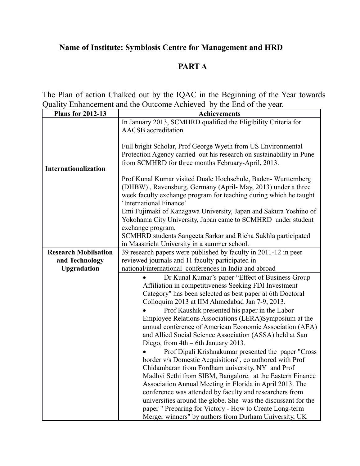## **Name of Institute: Symbiosis Centre for Management and HRD**

## **PART A**

The Plan of action Chalked out by the IQAC in the Beginning of the Year towards Quality Enhancement and the Outcome Achieved by the End of the year.

| <b>Plans for 2012-13</b>    | <b>Achievements</b>                                                                                                              |  |  |  |
|-----------------------------|----------------------------------------------------------------------------------------------------------------------------------|--|--|--|
|                             | In January 2013, SCMHRD qualified the Eligibility Criteria for                                                                   |  |  |  |
|                             | <b>AACSB</b> accreditation                                                                                                       |  |  |  |
|                             | Full bright Scholar, Prof George Wyeth from US Environmental                                                                     |  |  |  |
|                             | Protection Agency carried out his research on sustainability in Pune                                                             |  |  |  |
|                             | from SCMHRD for three months February-April, 2013.                                                                               |  |  |  |
| Internationalization        |                                                                                                                                  |  |  |  |
|                             | Prof Kunal Kumar visited Duale Hochschule, Baden-Wurttemberg                                                                     |  |  |  |
|                             | (DHBW), Ravensburg, Germany (April-May, 2013) under a three                                                                      |  |  |  |
|                             | week faculty exchange program for teaching during which he taught                                                                |  |  |  |
|                             | 'International Finance'                                                                                                          |  |  |  |
|                             | Emi Fujimaki of Kanagawa University, Japan and Sakura Yoshino of<br>Yokohama City University, Japan came to SCMHRD under student |  |  |  |
|                             | exchange program.                                                                                                                |  |  |  |
|                             | SCMHRD students Sangeeta Sarkar and Richa Sukhla participated                                                                    |  |  |  |
|                             | in Maastricht University in a summer school.                                                                                     |  |  |  |
| <b>Research Mobilsation</b> | 39 research papers were published by faculty in 2011-12 in peer                                                                  |  |  |  |
| and Technology              | reviewed journals and 11 faculty participated in                                                                                 |  |  |  |
| <b>Upgradation</b>          | national/international conferences in India and abroad                                                                           |  |  |  |
|                             | Dr Kunal Kumar's paper "Effect of Business Group"                                                                                |  |  |  |
|                             | Affiliation in competitiveness Seeking FDI Investment                                                                            |  |  |  |
|                             | Category" has been selected as best paper at 6th Doctoral<br>Colloquim 2013 at IIM Ahmedabad Jan 7-9, 2013.                      |  |  |  |
|                             | Prof Kaushik presented his paper in the Labor                                                                                    |  |  |  |
|                             | Employee Relations Associations (LERA) Symposium at the                                                                          |  |  |  |
|                             | annual conference of American Economic Association (AEA)                                                                         |  |  |  |
|                             | and Allied Social Science Association (ASSA) held at San                                                                         |  |  |  |
|                             | Diego, from $4th - 6th$ January 2013.                                                                                            |  |  |  |
|                             | Prof Dipali Krishnakumar presented the paper "Cross"                                                                             |  |  |  |
|                             | border v/s Domestic Acquisitions", co authored with Prof                                                                         |  |  |  |
|                             | Chidambaran from Fordham university, NY and Prof                                                                                 |  |  |  |
|                             | Madhvi Sethi from SIBM, Bangalore. at the Eastern Finance                                                                        |  |  |  |
|                             | Association Annual Meeting in Florida in April 2013. The                                                                         |  |  |  |
|                             | conference was attended by faculty and researchers from                                                                          |  |  |  |
|                             | universities around the globe. She was the discussant for the                                                                    |  |  |  |
|                             | paper " Preparing for Victory - How to Create Long-term                                                                          |  |  |  |
|                             | Merger winners" by authors from Durham University, UK                                                                            |  |  |  |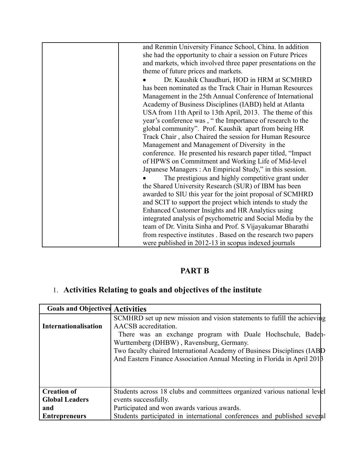| and Renmin University Finance School, China. In addition     |
|--------------------------------------------------------------|
| she had the opportunity to chair a session on Future Prices  |
| and markets, which involved three paper presentations on the |
| theme of future prices and markets.                          |
| Dr. Kaushik Chaudhuri, HOD in HRM at SCMHRD                  |
| has been nominated as the Track Chair in Human Resources     |
| Management in the 25th Annual Conference of International    |
| Academy of Business Disciplines (IABD) held at Atlanta       |
| USA from 11th April to 13th April, 2013. The theme of this   |
| year's conference was, "the Importance of research to the    |
| global community". Prof. Kaushik apart from being HR         |
| Track Chair, also Chaired the session for Human Resource     |
| Management and Management of Diversity in the                |
| conference. He presented his research paper titled, "Impact" |
| of HPWS on Commitment and Working Life of Mid-level          |
| Japanese Managers : An Empirical Study," in this session.    |
| The prestigious and highly competitive grant under           |
| the Shared University Research (SUR) of IBM has been         |
| awarded to SIU this year for the joint proposal of SCMHRD    |
| and SCIT to support the project which intends to study the   |
| Enhanced Customer Insights and HR Analytics using            |
| integrated analysis of psychometric and Social Media by the  |
|                                                              |
| team of Dr. Vinita Sinha and Prof. S Vijayakumar Bharathi    |
| from respective institutes. Based on the research two papers |
| were published in 2012-13 in scopus indexed journals         |

## **PART B**

## 1. **Activities Relating to goals and objectives of the institute**

| <b>Goals and Objectives Activities</b> |                                                                          |  |
|----------------------------------------|--------------------------------------------------------------------------|--|
|                                        | SCMHRD set up new mission and vision statements to fufill the achieving  |  |
| <b>Internationalisation</b>            | AACSB accreditation.                                                     |  |
|                                        | There was an exchange program with Duale Hochschule, Badeh-              |  |
|                                        | Wurttemberg (DHBW), Ravensburg, Germany.                                 |  |
|                                        | Two faculty chaired International Academy of Business Disciplines (IABD) |  |
|                                        | And Eastern Finance Association Annual Meeting in Florida in April 2018  |  |
|                                        |                                                                          |  |
|                                        |                                                                          |  |
|                                        |                                                                          |  |
| <b>Creation of</b>                     | Students across 18 clubs and committees organized various national level |  |
| <b>Global Leaders</b>                  | events successfully.                                                     |  |
| and                                    | Participated and won awards various awards.                              |  |
| <b>Entrepreneurs</b>                   | Students participated in international conferences and published several |  |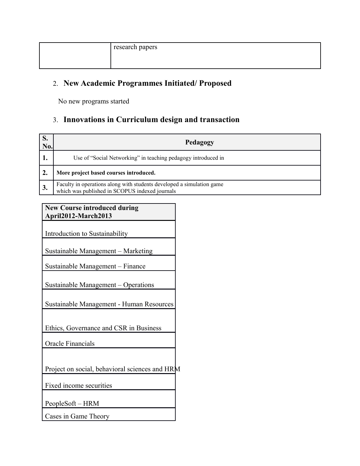| research papers |
|-----------------|
|                 |

### 2. **New Academic Programmes Initiated/ Proposed**

No new programs started

### 3. **Innovations in Curriculum design and transaction**

| D.<br>No. | Pedagogy                                                                                                                |
|-----------|-------------------------------------------------------------------------------------------------------------------------|
|           | Use of "Social Networking" in teaching pedagogy introduced in                                                           |
|           | More project based courses introduced.                                                                                  |
|           | Faculty in operations along with students developed a simulation game<br>which was published in SCOPUS indexed journals |

### **New Course introduced during April2012-March2013**

Introduction to Sustainability

Sustainable Management – Marketing

Sustainable Management – Finance

Sustainable Management – Operations

Sustainable Management - Human Resources

Ethics, Governance and CSR in Business

Oracle Financials

Project on social, behavioral sciences and HRM

Fixed income securities

PeopleSoft – HRM

Cases in Game Theory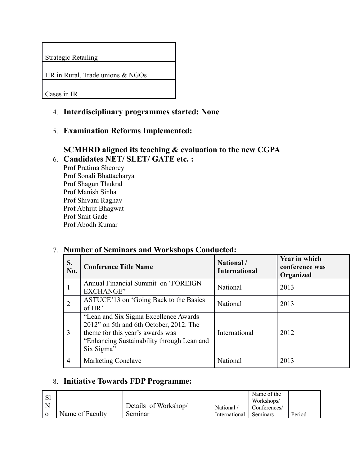Strategic Retailing

HR in Rural, Trade unions & NGOs

Cases in IR

### 4. **Interdisciplinary programmes started: None**

5. **Examination Reforms Implemented:** 

#### **SCMHRD aligned its teaching & evaluation to the new CGPA** 6. **Candidates NET/ SLET/ GATE etc. :**

Prof Pratima Sheorey Prof Sonali Bhattacharya Prof Shagun Thukral Prof Manish Sinha Prof Shivani Raghav Prof Abhijit Bhagwat Prof Smit Gade Prof Abodh Kumar

#### **S. No. Conference Title Name National / <b>National / International / International / International Year in which conference was Organized** 1 Annual Financial Summit on 'FOREIGN EXCHANGE" National 2013 2 ASTUCE'13 on 'Going Back to the Basics <br>
National 2013 3 "Lean and Six Sigma Excellence Awards 2012" on 5th and 6th October, 2012. The theme for this year's awards was "Enhancing Sustainability through Lean and Six Sigma" International 2012 4 | Marketing Conclave | National | 2013

### 7. **Number of Seminars and Workshops Conducted:**

### 8. **Initiative Towards FDP Programme:**

|                 |                      |               | Name of the<br>Workshops/ |        |
|-----------------|----------------------|---------------|---------------------------|--------|
|                 | Details of Workshop/ | National      | Conferences/              |        |
| Name of Faculty | Seminar              | International | Seminars                  | Period |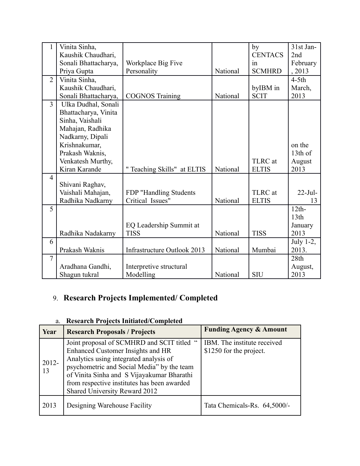| 1              | Vinita Sinha,        |                             |          | by             | 31st Jan-        |
|----------------|----------------------|-----------------------------|----------|----------------|------------------|
|                | Kaushik Chaudhari,   |                             |          | <b>CENTACS</b> | 2nd              |
|                | Sonali Bhattacharya, | Workplace Big Five          |          | in             | February         |
|                | Priya Gupta          | Personality                 | National | <b>SCMHRD</b>  | , 2013           |
| $\overline{2}$ | Vinita Sinha,        |                             |          |                | $4-5th$          |
|                | Kaushik Chaudhari,   |                             |          | byIBM in       | March,           |
|                | Sonali Bhattacharya, | <b>COGNOS Training</b>      | National | <b>SCIT</b>    | 2013             |
| $\overline{3}$ | Ulka Dudhal, Sonali  |                             |          |                |                  |
|                | Bhattacharya, Vinita |                             |          |                |                  |
|                | Sinha, Vaishali      |                             |          |                |                  |
|                | Mahajan, Radhika     |                             |          |                |                  |
|                | Nadkarny, Dipali     |                             |          |                |                  |
|                | Krishnakumar,        |                             |          |                | on the           |
|                | Prakash Waknis,      |                             |          |                | 13th of          |
|                | Venkatesh Murthy,    |                             |          | TLRC at        | August           |
|                | Kiran Karande        | " Teaching Skills" at ELTIS | National | <b>ELTIS</b>   | 2013             |
| $\overline{4}$ |                      |                             |          |                |                  |
|                | Shivani Raghav,      |                             |          |                |                  |
|                | Vaishali Mahajan,    | FDP "Handling Students      |          | TLRC at        | $22-Jul-$        |
|                | Radhika Nadkarny     | Critical Issues"            | National | <b>ELTIS</b>   | 13               |
| 5              |                      |                             |          |                | $12th-$          |
|                |                      |                             |          |                | 13 <sup>th</sup> |
|                |                      | EQ Leadership Summit at     |          |                | January          |
|                | Radhika Nadakarny    | <b>TISS</b>                 | National | <b>TISS</b>    | 2013             |
| 6              |                      |                             |          |                | July 1-2,        |
|                | Prakash Waknis       | Infrastructure Outlook 2013 | National | Mumbai         | 2013.            |
| $\overline{7}$ |                      |                             |          |                | 28th             |
|                | Aradhana Gandhi,     | Interpretive structural     |          |                | August,          |
|                | Shagun tukral        | Modelling                   | National | <b>SIU</b>     | 2013             |

# 9. **Research Projects Implemented/ Completed**

### a. **Research Projects Initiated/Completed**

| Year        | <b>Research Proposals / Projects</b>                                                                                                                                                                                                                                                                      | <b>Funding Agency &amp; Amount</b>                     |
|-------------|-----------------------------------------------------------------------------------------------------------------------------------------------------------------------------------------------------------------------------------------------------------------------------------------------------------|--------------------------------------------------------|
| 2012-<br>13 | Joint proposal of SCMHRD and SCIT titled<br>cc<br>Enhanced Customer Insights and HR<br>Analytics using integrated analysis of<br>psychometric and Social Media" by the team<br>of Vinita Sinha and S Vijayakumar Bharathi<br>from respective institutes has been awarded<br>Shared University Reward 2012 | IBM. The institute received<br>\$1250 for the project. |
| 2013        | Designing Warehouse Facility                                                                                                                                                                                                                                                                              | Tata Chemicals-Rs. 64,5000/-                           |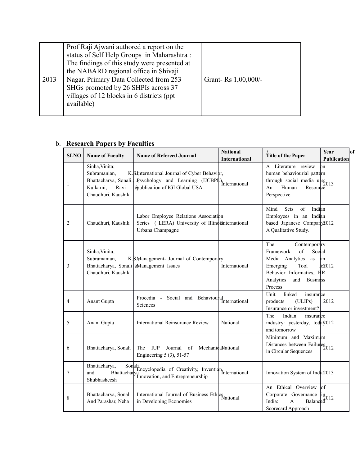|      | Prof Raji Ajwani authored a report on the    |                     |
|------|----------------------------------------------|---------------------|
|      | status of Self Help Groups in Maharashtra:   |                     |
|      | The findings of this study were presented at |                     |
|      | the NABARD regional office in Shivaji        |                     |
| 2013 | Nagar. Primary Data Collected from 253       | Grant-Rs 1,00,000/- |
|      | SHGs promoted by 26 SHPIs across 37          |                     |
|      | villages of 12 blocks in 6 districts (ppt    |                     |
|      | available)                                   |                     |
|      |                                              |                     |

### b. **Research Papers by Faculties**

| <b>SLNO</b>    | <b>Name of Faculty</b>                                                                              | <b>Name of Refereed Journal</b>                                                                                                             | <b>National</b><br><b>International</b> | Title of the Paper                                                                                                                                                                  | Year<br>of<br><b>Publication</b> |
|----------------|-----------------------------------------------------------------------------------------------------|---------------------------------------------------------------------------------------------------------------------------------------------|-----------------------------------------|-------------------------------------------------------------------------------------------------------------------------------------------------------------------------------------|----------------------------------|
| 1              | Sinha, Vinita;<br>Subramanian,<br>Bhattacharya, Sonali.<br>Kulkarni,<br>Ravi<br>Chaudhuri, Kaushik. | K.S.International Journal of Cyber Behavibr,<br>Psychology and Learning (IJCBPL) <sub>International</sub><br>&publication of IGI Global USA |                                         | A Literature review<br>human behaviourial pattern<br>through social media $\frac{1}{2013}$<br>Human<br>Resource<br>An<br>Perspective                                                | .<br>Ion                         |
| 2              | Chaudhuri, Kaushik                                                                                  | Labor Employee Relations Association<br>Series (LERA) University of Illinoishternational<br>Urbana Champagne                                |                                         | Mind<br>Sets<br>of<br>Indian<br>Employees in an Indian<br>based Japanese Company2012<br>A Qualitative Study.                                                                        |                                  |
| 3              | Sinha, Vinita;<br>Subramanian.<br>Chaudhuri, Kaushik.                                               | K.S.Management- Journal of Contemporary<br>Bhattacharya, Sonali   Management Issues                                                         | International                           | The<br>Contemporary<br>$\sigma$ f<br>Social<br>Framework<br>Media Analytics<br>as<br>Emerging<br>Tool<br>Behavior Informatics, HR<br>Analytics<br>and<br><b>Business</b><br>Process | lan<br>f <sub>0</sub> 2012       |
| $\overline{4}$ | Anant Gupta                                                                                         | Social and Behavioural International<br>Procedia -<br>Sciences                                                                              |                                         | linked<br>Unit<br>insurance<br>(ULIPs)<br>products<br>Insurance or investment?                                                                                                      | 2012                             |
| 5              | Anant Gupta                                                                                         | International Reinsurance Review                                                                                                            | National                                | The<br>Indian<br>insurance<br>industry: yesterday, today 012<br>and tomorrow                                                                                                        |                                  |
| 6              | Bhattacharya, Sonali                                                                                | <b>IUP</b><br>The<br>Journal of MechanicalNational<br>Engineering $5(3)$ , $51-57$                                                          |                                         | Minimum and Maximum<br>Distances between Failures 2012<br>in Circular Sequences                                                                                                     |                                  |
| $\tau$         | Bhattacharya,<br>and<br>Shubhasheesh                                                                | Sonali<br>Encyclopedia of Creativity, Inventional<br>International<br>Bhattacharya<br>Innovation, and Entrepreneurship                      |                                         | Innovation System of India2013                                                                                                                                                      |                                  |
| 8              | Bhattacharya, Sonali<br>And Parashar, Neha                                                          | International Journal of Business Ethics<br>National<br>in Developing Economies                                                             |                                         | An Ethical Overview of<br>Corporate Governance<br>$\begin{bmatrix} \text{name} \\ \text{ind} \\ \text{Balanced} \end{bmatrix}$<br>India:<br>$\overline{A}$<br>Scorecard Approach    |                                  |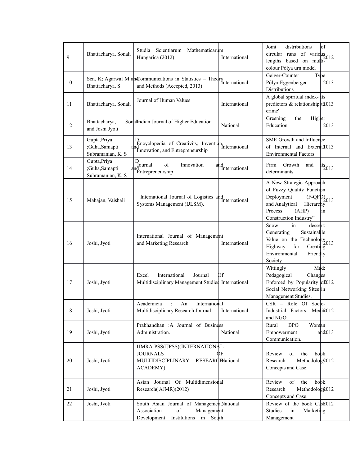| 9      | Bhattacharya, Sonali                                | Studia<br>Scientiarum Mathematicarum<br>Hungarica (2012)                                                                | International        | Joint<br>distributions<br>of<br>circular runs of varidus $_{2012}$<br>lengths based on multi-<br>colour Pólya urn model                                                   |
|--------|-----------------------------------------------------|-------------------------------------------------------------------------------------------------------------------------|----------------------|---------------------------------------------------------------------------------------------------------------------------------------------------------------------------|
| 10     | Bhattacharya, S                                     | Sen, K; Agarwal M and Communications in Statistics - Theory International<br>and Methods (Accepted, 2013)               |                      | Geiger-Counter<br>Type<br>Pólya-Eggenberger<br>2013<br>Distributions                                                                                                      |
| 11     | Bhattacharya, Sonali                                | Journal of Human Values                                                                                                 | International        | A global spiritual index-lits<br>predictors & relationship $\frac{1}{2013}$<br>crime'                                                                                     |
| 12     | Bhattacharya,<br>and Joshi Jyoti                    | SonalIndian Journal of Higher Education.                                                                                | National             | Higher<br>Greening<br>the<br>Education<br>2013                                                                                                                            |
| 13     | Gupta, Priya<br>;Guha,Samapti<br>Subramanian, K. S. | P <sub>Encyclopedia</sub> of Creativity, Inventional International<br>Innovation, and Entrepreneurship                  |                      | SME Growth and Influence<br>of Internal and External 013<br><b>Environmental Factors</b>                                                                                  |
| 14     | Gupta, Priya<br>;Guha,Samapti<br>Subramanian, K. S. | $\begin{bmatrix} D \\ Journal \end{bmatrix}$<br>of<br>Innovation<br>Entrepreneurship                                    | and<br>International | Growth<br>Firm<br>and<br>$\frac{15}{2}013$<br>determinants                                                                                                                |
| 15     | Mahajan, Vaishali                                   | International Journal of Logistics and<br>International<br>Systems Management (IJLSM).                                  |                      | A New Strategic Approach<br>of Fuzzy Quality Function<br>Deployment<br>$(F-QFD_{2013}$<br>and Analytical<br>Hierarchy<br>Process<br>(AHP)<br>in<br>Construction Industry" |
| 16     | Joshi, Jyoti                                        | International Journal of Management<br>and Marketing Research                                                           | International        | in<br>Snow<br>dessert:<br>Sustainable<br>Generating<br>Value on the Technology $2013$<br>Highway<br>for<br>Creating<br>Environmental<br>Friendly<br>Society               |
| 17     | Joshi, Jyoti                                        | International<br>Journal<br>Excel<br>Multidisciplinary Management Studies International                                 | Of                   | Mad:<br>Wittingly<br>Pedagogical<br>Changes<br>Enforced by Popularity $o\text{\pounds}012$<br>Social Networking Sites in<br>Management Studies.                           |
| 18     | Joshi, Jyoti                                        | Academicia<br>÷<br>International<br>An<br>Multidisciplinary Research Journal                                            | International        | CSR - Role Of Socio-<br>Industrial Factors: Media012<br>and NGO.                                                                                                          |
| 19     | Joshi, Jyoti                                        | Prabhandhan :A Journal of Business<br>Administration.                                                                   | National             | <b>BPO</b><br>Woman<br>Rural<br>Empowerment<br>$a$ n $d$ 013<br>Communication.                                                                                            |
| 20     | Joshi, Jyoti                                        | IJMRA-PSS(IJPSS)(INTERNATIONAL<br><b>JOURNALS</b><br>MULTIDISCIPLINARY<br><b>RESEARCHNational</b><br>ACADEMY)           | DЕ                   | Review<br>book<br>of<br>the<br>Methodology012<br>Research<br>Concepts and Case.                                                                                           |
| 21     | Joshi, Jyoti                                        | Asian Journal Of Multidimensional<br>Research(AJMR)(2012)                                                               |                      | Review<br>of<br>book<br>the<br>Research<br>Methodology2012<br>Concepts and Case.                                                                                          |
| $22\,$ | Joshi, Jyoti                                        | South Asian Journal of ManagementNational<br>Association<br>of<br>Management<br>in South<br>Development<br>Institutions |                      | Review of the book C4s2012<br><b>Studies</b><br>in<br>Marketing<br>Management                                                                                             |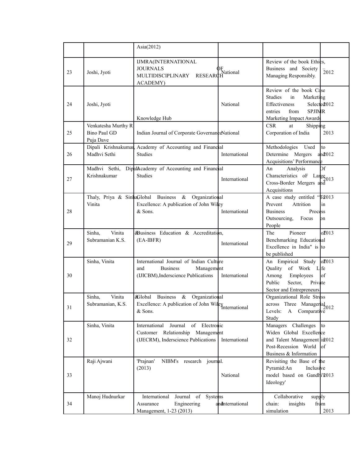|    |                                                  | Asia $(2012)$                                                                                                           |                      |                                                                                                                                                             |
|----|--------------------------------------------------|-------------------------------------------------------------------------------------------------------------------------|----------------------|-------------------------------------------------------------------------------------------------------------------------------------------------------------|
| 23 | Joshi, Jyoti                                     | IJMRA(INTERNATIONAL<br><b>JOURNALS</b><br>MULTIDISCIPLINARY RESEARCH<br>ACADEMY)                                        | PF<br>L'National     | Review of the book Ethics.<br>Business and Society<br>$\overline{2}012$<br>Managing Responsibly.                                                            |
| 24 | Joshi, Jyoti                                     | Knowledge Hub                                                                                                           | National             | Review of the book Case<br>in<br><b>Studies</b><br>Marketing<br>Effectiveness<br>Selected012<br>from<br><b>SPJIMR</b><br>entries<br>Marketing Impact Awards |
| 25 | Venkatesha Murthy R<br>Bino Paul GD<br>Puja Dave | Indian Journal of Corporate GovernanceNational                                                                          |                      | <b>CSR</b><br>at<br>Shipping<br>Corporation of India<br>2013                                                                                                |
| 26 | Madhvi Sethi                                     | Dipali Krishnakumar, Academy of Accounting and Financial<br><b>Studies</b>                                              | International        | to<br>Methodologies<br>Used<br>Determine Mergers<br>$an\alpha$ 012<br>Acquisitions' Performance                                                             |
| 27 | Madhvi Sethi,<br>Krishnakumar                    | DipalAcademy of Accounting and Financial<br><b>Studies</b>                                                              | International        | bf<br>An<br>Analysis<br>Characteristics of Large 2013<br>Cross-Border Mergers and<br>Acquisitions                                                           |
| 28 | Thaly, Priya & SinhaGlobal<br>Vinita             | Business & Organizational<br>Excellence: A publication of John Wiley<br>& Sons.                                         | International        | A case study entitled "Ta013<br>Attrition<br>Prevent<br>in<br><b>Business</b><br>Process<br>Outsourcing,<br>Focus<br>lon<br>People                          |
| 29 | Vinita<br>Sinha,<br>Subramanian K.S.             | <b>&amp;Business</b> Education & Accreditation,<br>$(EA-IBFR)$                                                          | International        | of 013<br>Pioneer<br>The<br>Benchmarking Educational<br>Excellence in India" is to<br>be published                                                          |
| 30 | Sinha, Vinita                                    | International Journal of Indian Culture<br>and<br><b>Business</b><br>Management<br>(IJICBM), Inderscience Publications  | International        | oE013<br>An Empirical Study<br>Quality<br>of Work Life<br>Employees<br>of<br>Among<br>Public<br>Sector,<br>Private<br>Sector and Entrepreneurs              |
| 31 | Vinita<br>Sinha,<br>Subramanian, K.S.            | <b>Business</b><br>$\&$<br>&Global<br>Organizational<br>Excellence: A publication of John Wiley<br>& Sons.              | <i>International</i> | Organizational Role Stress<br>across Three Managerial 2012<br>Levels: A Comparative<br>Study                                                                |
| 32 | Sinha, Vinita                                    | of Electronic<br>International<br>Journal<br>Customer Relationship<br>Management<br>(IJECRM), Inderscience Publications | International        | Managers Challenges<br>l to<br>Widen Global Excellence<br>and Talent Management $i\hat{u}$ 012<br>Post-Recession World<br>lof<br>Business & Information     |
| 33 | Raji Ajwani                                      | 'Prajnan'<br>NIBM's research journal.<br>(2013)                                                                         | National             | Revisiting the Base of the<br>Pyramid:An<br>Inclusive<br>model based on Gandhi'2013<br>Ideology'                                                            |
| 34 | Manoj Hudnurkar                                  | International<br>Journal of Systems<br>Engineering<br>Assurance<br>Management, 1-23 (2013)                              | andnternational      | Collaborative<br>supply<br>insights<br>from<br>chain:<br>simulation<br>2013                                                                                 |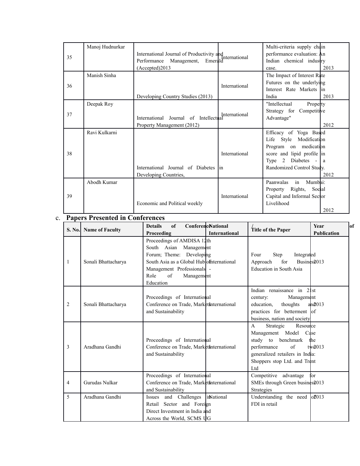|    | Manoj Hudnurkar |                                                            |               | Multi-criteria supply chain |      |
|----|-----------------|------------------------------------------------------------|---------------|-----------------------------|------|
| 35 |                 | International Journal of Productivity and<br>International |               | performance evaluation: An  |      |
|    |                 | Management,<br>Performance<br>Emerald                      |               | Indian chemical industry    |      |
|    |                 | (Accepted)2013                                             |               | case.                       | 2013 |
|    | Manish Sinha    |                                                            |               | The Impact of Interest Rate |      |
| 36 |                 |                                                            | International | Futures on the underlying   |      |
|    |                 |                                                            |               | Interest Rate Markets lin   |      |
|    |                 | Developing Country Studies (2013)                          |               | India                       | 2013 |
|    | Deepak Roy      |                                                            |               | "Intellectual<br>Property   |      |
| 37 |                 |                                                            | International | Strategy for Competitive    |      |
|    |                 | International Journal of Intellectual                      |               | Advantage"                  |      |
|    |                 | Property Management (2012)                                 |               |                             | 2012 |
|    | Ravi Kulkarni   |                                                            |               | Efficacy of Yoga Based      |      |
|    |                 |                                                            |               | Life Style Modification     |      |
|    |                 |                                                            |               | Program on medication       |      |
| 38 |                 |                                                            | International | score and lipid profile in  |      |
|    |                 |                                                            |               | Type 2 Diabetes - $ a $     |      |
|    |                 | International Journal of Diabetes                          | lin           | Randomized Control Study.   |      |
|    |                 | Developing Countries,                                      |               |                             | 2012 |
|    | Abodh Kumar     |                                                            |               | in<br>Paanwalas<br>Mumbai:  |      |
|    |                 |                                                            |               | Property Rights,<br>Social  |      |
| 39 |                 |                                                            | International | Capital and Informal Sector |      |
|    |                 | Economic and Political weekly                              |               | Livelihood                  |      |
|    |                 |                                                            |               |                             | 2012 |

### c. **Papers Presented in Conferences**

|                | S. No. Name of Faculty | of<br><b>Details</b><br>Proceeding                                                                                                                                                                     | <b>Conference</b> Vational<br><b>International</b> | Title of the Paper                                                                                                                                                                                      | <b>Year</b><br>lof<br><b>Publication</b> |
|----------------|------------------------|--------------------------------------------------------------------------------------------------------------------------------------------------------------------------------------------------------|----------------------------------------------------|---------------------------------------------------------------------------------------------------------------------------------------------------------------------------------------------------------|------------------------------------------|
| $\mathbf{1}$   | Sonali Bhattacharya    | Proceedings of AMDISA 12th<br>South Asian Management<br>Forum; Theme: Developing<br>South Asia as a Global Hub of international<br>Management Professionals -<br>Role<br>of<br>Management<br>Education |                                                    | Step<br>Integrated<br>Four<br>for<br>Approach<br>Education in South Asia                                                                                                                                | Busines2013                              |
| $\overline{2}$ | Sonali Bhattacharya    | Proceedings of International<br>Conference on Trade, Markets International<br>and Sustainability                                                                                                       |                                                    | Indian renaissance in 21st<br>Management<br>century:<br>education,<br>thoughts<br>practices for betterment of<br>business, nation and society                                                           | $an\theta$ 013                           |
| 3              | Aradhana Gandhi        | Proceedings of International<br>Conference on Trade, Markets International<br>and Sustainability                                                                                                       |                                                    | $\mathsf{A}$<br>Resource<br>Strategic<br>Management Model Case<br>study to benchmark<br>performance<br>$\sigma$ f<br>generalized retailers in India:<br>Shoppers stop Ltd. and Trent<br>L <sub>td</sub> | the<br>$t\sqrt{2013}$                    |
| $\overline{4}$ | Gurudas Nulkar         | Proceedings of International<br>Conference on Trade, Markets international<br>and Sustainability                                                                                                       |                                                    | Competitive advantage<br>SMEs through Green busines 2013<br>Strategies                                                                                                                                  | for                                      |
| 5              | Aradhana Gandhi        | Issues and Challenges  inNational<br>Retail Sector and Foreign<br>Direct Investment in India and<br>Across the World, SCMS UG                                                                          |                                                    | Understanding the need $o\bar{z}013$<br>FDI in retail                                                                                                                                                   |                                          |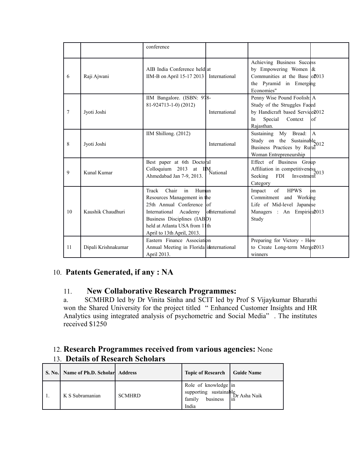|                |                     | conference                                                                                                                                                                                                       |                        |                                                                                                                                                 |
|----------------|---------------------|------------------------------------------------------------------------------------------------------------------------------------------------------------------------------------------------------------------|------------------------|-------------------------------------------------------------------------------------------------------------------------------------------------|
| 6              | Raji Ajwani         | AIB India Conference held at<br>IIM-B on April 15-17 2013                                                                                                                                                        | International          | Achieving Business Success<br>by Empowering Women $\alpha$<br>Communities at the Base $\log 013$<br>the Pyramid in Emerging<br>Economies"       |
| $\overline{7}$ | Jyoti Joshi         | IIM Bangalore. (ISBN: 978-<br>81-924713-1-0) (2012)                                                                                                                                                              | International          | Penny Wise Pound Foolish: A<br>Study of the Struggles Faced<br>by Handicraft based Service2012<br>Special<br>Context<br>lof<br>In<br>Rajasthan. |
| 8              | Jyoti Joshi         | IIM Shillong. $(2012)$                                                                                                                                                                                           | International          | A.<br>Sustaining My Bread:<br>Study on the Sustainable $2012$<br>Business Practices by Rural<br>Woman Entrepreneurship                          |
| 9              | Kunal Kumar         | Best paper at 6th Doctoral<br>Colloquium 2013 at IM<br>National<br>Ahmedabad Jan 7-9, 2013.                                                                                                                      |                        | Effect of Business Group<br>Affiliation in competitiveness $^{2013}$<br>Seeking<br><b>FDI</b><br>Investment<br>Category                         |
| 10             | Kaushik Chaudhuri   | Chair<br>Track<br>in<br>Human<br>Resources Management in the<br>25th Annual Conference of<br>International Academy<br>Business Disciplines (IABD)<br>held at Atlanta USA from 11th<br>April to 13th April, 2013. | <b>o</b> fiternational | of<br><b>HPWS</b><br>Impact<br>.<br>on<br>Commitment and Working<br>Life of Mid-level Japandse<br>Managers : An Empirical013<br>Study           |
| 11             | Dipali Krishnakumar | Eastern Finance Association<br>Annual Meeting in Florida in International<br>April 2013.                                                                                                                         |                        | Preparing for Victory - $H\phi w$<br>to Create Long-term Merge2013<br>winners                                                                   |

### 10. **Patents Generated, if any : NA**

### 11. **New Collaborative Research Programmes:**

a. SCMHRD led by Dr Vinita Sinha and SCIT led by Prof S Vijaykumar Bharathi won the Shared University for the project titled " Enhanced Customer Insights and HR Analytics using integrated analysis of psychometric and Social Media" . The institutes received \$1250

### 12. **Research Programmes received from various agencies:** None 13. **Details of Research Scholars**

| S. No.   Name of Ph.D. Scholar   Address |               | <b>Topic of Research</b>                                                                      | <b>Guide Name</b> |
|------------------------------------------|---------------|-----------------------------------------------------------------------------------------------|-------------------|
| K S Subramanian                          | <b>SCMHRD</b> | Role of knowledge in<br>supporting sustainable<br>Dr Asha Naik<br>family<br>business<br>India | l 1n              |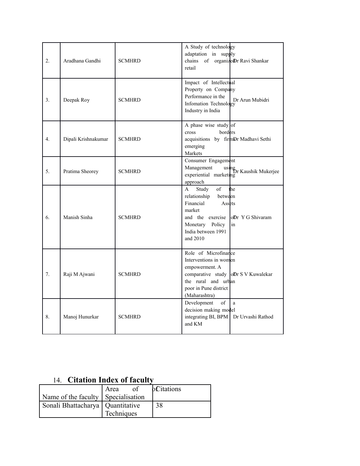| $\overline{2}$ .                | Aradhana Gandhi     | <b>SCMHRD</b> | A Study of technology<br>adaptation in supply<br>of organizedDr Ravi Shankar<br>chains<br>retail                                                                                                        |
|---------------------------------|---------------------|---------------|---------------------------------------------------------------------------------------------------------------------------------------------------------------------------------------------------------|
| 3 <sub>1</sub>                  | Deepak Roy          | <b>SCMHRD</b> | Impact of Intellectual<br>Property on Company<br>Performance in the<br>Dr Arun Mubidri<br>Infomation Technology<br>Industry in India                                                                    |
| 4.                              | Dipali Krishnakumar | <b>SCMHRD</b> | A phase wise study of<br>borders<br>cross<br>acquisitions by firmDr Madhavi Sethi<br>emerging<br>Markets                                                                                                |
| 5.                              | Pratima Sheorey     | <b>SCMHRD</b> | Consumer Engagement<br>Management<br>using<br>Dr Kaushik Mukerjee<br>experiential marketing<br>approach                                                                                                 |
| 6.                              | Manish Sinha        | <b>SCMHRD</b> | $\sigma$ f<br>the<br>$\mathsf{A}$<br>Study<br>relationship between<br>Financial<br>Assets<br>market<br>and the exercise<br>loDr Y G Shivaram<br>Monetary Policy<br>in<br>India between 1991<br>and 2010 |
| $7_{\scriptscriptstyle{\circ}}$ | Raji M Ajwani       | <b>SCMHRD</b> | Role of Microfinance<br>Interventions in women<br>empowerment. A<br>comparative study $\left  \text{oDr} \right $ S V Kuwalekar<br>the rural and urban<br>poor in Pune district<br>(Maharashtra)        |
| 8.                              | Manoj Hunurkar      | <b>SCMHRD</b> | Development<br>of<br>a<br>decision making model<br>integrating BI, BPM<br>Dr Urvashi Rathod<br>and KM                                                                                                   |

## 14. **Citation Index of faculty**

|                                    | of<br>Area | <b>bCitations</b> |
|------------------------------------|------------|-------------------|
| Name of the faculty Specialisation |            |                   |
| Sonali Bhattacharya   Quantitative |            | 38                |
|                                    | Techniques |                   |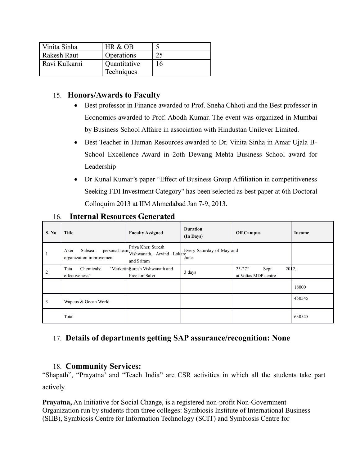| Vinita Sinha  | HR & OB      |     |
|---------------|--------------|-----|
| Rakesh Raut   | Operations   |     |
| Ravi Kulkarni | Quantitative | ' რ |
|               | Techniques   |     |

### 15. **Honors/Awards to Faculty**

- Best professor in Finance awarded to Prof. Sneha Chhoti and the Best professor in Economics awarded to Prof. Abodh Kumar. The event was organized in Mumbai by Business School Affaire in association with Hindustan Unilever Limited.
- Best Teacher in Human Resources awarded to Dr. Vinita Sinha in Amar Ujala B-School Excellence Award in 2oth Dewang Mehta Business School award for Leadership
- Dr Kunal Kumar's paper "Effect of Business Group Affiliation in competitiveness Seeking FDI Investment Category" has been selected as best paper at 6th Doctoral Colloquim 2013 at IIM Ahmedabad Jan 7-9, 2013.

| S. No          | <b>Title</b>                                                  | <b>Faculty Assigned</b>                                       | <b>Duration</b><br>(In Days)      | <b>Off Campus</b>                                                | Income |
|----------------|---------------------------------------------------------------|---------------------------------------------------------------|-----------------------------------|------------------------------------------------------------------|--------|
|                | personal-team-<br>Subsea:<br>Aker<br>organization improvement | Priya Kher, Suresh<br>Vishwanath, Arvind Lokare<br>and Sriram | Every Saturday of May and<br>June |                                                                  |        |
| $\overline{2}$ | Chemicals:<br>Tata<br>effectiveness"                          | "Marketinguresh Vishwanath and<br>Preetam Salvi               | 3 days                            | $25 - 27$ <sup>th</sup><br>2012.<br>Sept<br>at Voltas MDP centre |        |
|                |                                                               |                                                               |                                   |                                                                  | 18000  |
| 3              | Wapcos & Ocean World                                          |                                                               |                                   |                                                                  | 450545 |
|                | Total                                                         |                                                               |                                   |                                                                  | 630545 |

#### 16. **Internal Resources Generated**

### 17. **Details of departments getting SAP assurance/recognition: None**

### 18. **Community Services:**

"Shapath", "Prayatna' and "Teach India" are CSR activities in which all the students take part actively.

**Prayatna,** An Initiative for Social Change, is a registered non-profit Non-Government Organization run by students from three colleges: Symbiosis Institute of International Business (SIIB), Symbiosis Centre for Information Technology (SCIT) and Symbiosis Centre for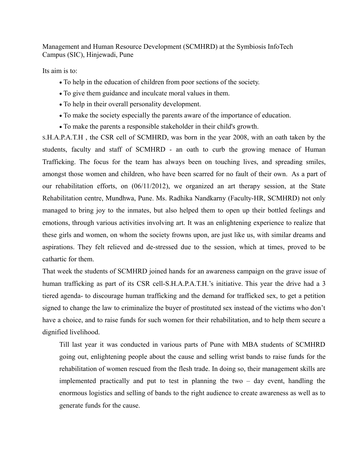Management and Human Resource Development (SCMHRD) at the Symbiosis InfoTech Campus (SIC), Hinjewadi, Pune

Its aim is to:

- To help in the education of children from poor sections of the society.
- To give them guidance and inculcate moral values in them.
- To help in their overall personality development.
- To make the society especially the parents aware of the importance of education.
- To make the parents a responsible stakeholder in their child's growth.

S.H.A.P.A.T.H , the CSR cell of SCMHRD, was born in the year 2008, with an oath taken by the students, faculty and staff of SCMHRD - an oath to curb the growing menace of Human Trafficking. The focus for the team has always been on touching lives, and spreading smiles, amongst those women and children, who have been scarred for no fault of their own. As a part of our rehabilitation efforts, on (06/11/2012), we organized an art therapy session, at the State Rehabilitation centre, Mundhwa, Pune. Ms. Radhika Nandkarny (Faculty-HR, SCMHRD) not only managed to bring joy to the inmates, but also helped them to open up their bottled feelings and emotions, through various activities involving art. It was an enlightening experience to realize that these girls and women, on whom the society frowns upon, are just like us, with similar dreams and aspirations. They felt relieved and de-stressed due to the session, which at times, proved to be cathartic for them.

That week the students of SCMHRD joined hands for an awareness campaign on the grave issue of human trafficking as part of its CSR cell-S.H.A.P.A.T.H.'s initiative. This year the drive had a 3 tiered agenda- to discourage human trafficking and the demand for trafficked sex, to get a petition signed to change the law to criminalize the buyer of prostituted sex instead of the victims who don't have a choice, and to raise funds for such women for their rehabilitation, and to help them secure a dignified livelihood.

Till last year it was conducted in various parts of Pune with MBA students of SCMHRD going out, enlightening people about the cause and selling wrist bands to raise funds for the rehabilitation of women rescued from the flesh trade. In doing so, their management skills are implemented practically and put to test in planning the two – day event, handling the enormous logistics and selling of bands to the right audience to create awareness as well as to generate funds for the cause.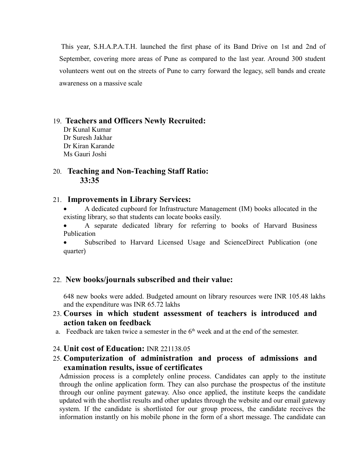This year, S.H.A.P.A.T.H. launched the first phase of its Band Drive on 1st and 2nd of September, covering more areas of Pune as compared to the last year. Around 300 student volunteers went out on the streets of Pune to carry forward the legacy, sell bands and create awareness on a massive scale

#### 19. **Teachers and Officers Newly Recruited:**

Dr Kunal Kumar Dr Suresh Jakhar Dr Kiran Karande Ms Gauri Joshi

#### 20. **Teaching and Non-Teaching Staff Ratio: 33:35**

#### 21. **Improvements in Library Services:**

 A dedicated cupboard for Infrastructure Management (IM) books allocated in the existing library, so that students can locate books easily.

 A separate dedicated library for referring to books of Harvard Business Publication

 Subscribed to Harvard Licensed Usage and ScienceDirect Publication (one quarter)

#### 22. **New books/journals subscribed and their value:**

648 new books were added. Budgeted amount on library resources were INR 105.48 lakhs and the expenditure was INR 65.72 lakhs

#### 23. **Courses in which student assessment of teachers is introduced and action taken on feedback**

- a. Feedback are taken twice a semester in the  $6<sup>th</sup>$  week and at the end of the semester.
- 24. **Unit cost of Education:** INR 221138.05
- 25. **Computerization of administration and process of admissions and examination results, issue of certificates**

Admission process is a completely online process. Candidates can apply to the institute through the online application form. They can also purchase the prospectus of the institute through our online payment gateway. Also once applied, the institute keeps the candidate updated with the shortlist results and other updates through the website and our email gateway system. If the candidate is shortlisted for our group process, the candidate receives the information instantly on his mobile phone in the form of a short message. The candidate can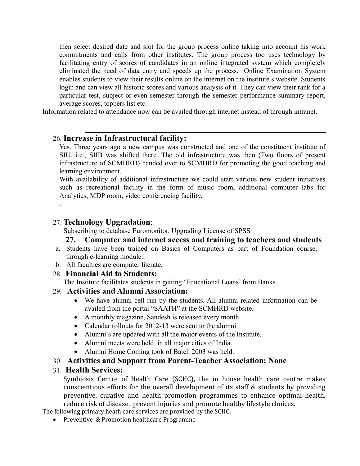then select desired date and slot for the group process online taking into account his work commitments and calls from other institutes. The group process too uses technology by facilitating entry of scores of candidates in an online integrated system which completely eliminated the need of data entry and speeds up the process. Online Examination System enables students to view their results online on the internet on the institute's website. Students login and can view all historic scores and various analysis of it. They can view their rank for a particular test, subject or even semester through the semester performance summary report, average scores, toppers list etc.

Information related to attendance now can be availed through internet instead of through intranet.

### 26. **Increase in Infrastructural facility:**

Yes. Three years ago a new campus was constructed and one of the constituent institute of SIU, i.e., SIIB was shifted there. The old infrastructure was then (Two floors of present infrastructure of SCMHRD) handed over to SCMHRD for promoting the good teaching and learning environment.

With availability of additional infrastructure we could start various new student initiatives such as recreational facility in the form of music room, additional computer labs for Analytics, MDP room, video conferencing facility.

#### 27. **Technology Upgradation**:

.

Subscribing to database Euromonitor. Upgrading License of SPSS

### **27. Computer and internet access and training to teachers and students**

- a. Students have been trained on Basics of Computers as part of Foundation course, through e-learning module..
- b. All faculties are computer literate.

#### 28. **Financial Aid to Students:**

The Institute facilitates students in getting 'Educational Loans' from Banks.

#### 29. **Activities and Alumni Association:**

- We have alumni cell run by the students. All alumni related information can be availed from the portal "SAATH" at the SCMHRD website.
- A monthly magazine, Sandesh is released every month
- Calendar rollouts for 2012-13 were sent to the alumni.
- Alumni's are updated with all the major events of the Institute.
- Alumni meets were held in all major cities of India.
- Alumni Home Coming took of Batch 2003 was held.

#### 30. **Activities and Support from Parent-Teacher Association: None**

#### 31. **Health Services:**

Symbiosis Centre of Health Care (SCHC), the in house health care centre makes conscientious efforts for the overall development of its staff & students by providing preventive, curative and health promotion programmes to enhance optimal health, reduce risk of disease, prevent injuries and promote healthy lifestyle choices.

The following primary heath care services are provided by the SCHC:

• Preventive & Promotion healthcare Programme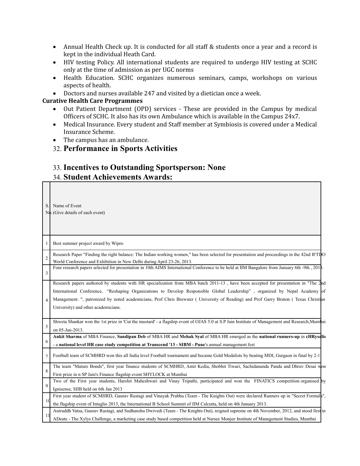- Annual Health Check up. It is conducted for all staff & students once a year and a record is kept in the individual Heath Card.
- HIV testing Policy. All international students are required to undergo HIV testing at SCHC only at the time of admission as per UGC norms
- Health Education. SCHC organizes numerous seminars, camps, workshops on various aspects of health.
- Doctors and nurses available 247 and visited by a dietician once a week.

#### **Curative Health Care Programmes**

- Out Patient Department (OPD) services These are provided in the Campus by medical Officers of SCHC. It also has its own Ambulance which is available in the Campus 24x7.
- Medical Insurance. Every student and Staff member at Symbiosis is covered under a Medical Insurance Scheme.
- The campus has an ambulance.
- 32. **Performance in Sports Activities**

### 33. **Incentives to Outstanding Sportsperson: None** 34. **Student Achievements Awards:**

| S.                  | Name of Event<br>$N\phi$ . (Give details of each event)                                                                                                                                                                                                                                                                                                                                                                                          |
|---------------------|--------------------------------------------------------------------------------------------------------------------------------------------------------------------------------------------------------------------------------------------------------------------------------------------------------------------------------------------------------------------------------------------------------------------------------------------------|
| 1                   | Best summer project award by Wipro                                                                                                                                                                                                                                                                                                                                                                                                               |
| $\overline{2}$<br>3 | Research Paper "Finding the right balance: The Indian working women," has been selected for presentation and proceedings in the 42nd IFTIDO<br>World Conference and Exhibition in New Delhi during April 23-26, 2013.<br>Four research papers selected for presentation in 10th AIMS International Conference to be held at IIM Bangalore from January 6th -9th, 2018.                                                                           |
| $\overline{4}$      | Research papers authored by students with HR specialization from MBA batch 2011-13, have been accepted for presentation in "The 2nd<br>International Conference, "Reshaping Organizations to Develop Responsible Global Leadership", organized by Nepal Academy of<br>Management. ", patronized by noted academicians, Prof Chris Brewster (University of Reading) and Prof Garry Bruton (Texas Christian<br>University) and other academicians. |
| 5                   | Shweta Shankar won the 1st prize in 'Cut the mustard' - a flagship event of OJAS 5.0 at S.P Jain Institute of Management and Research, Mumbai<br>on 05-Jan-2013.                                                                                                                                                                                                                                                                                 |
| 6                   | Ankit Sharma of MBA Finance, Sandipan Deb of MBA HR and Mehak Syal of MBA HR emerged as the national runners-up in cHRysalis<br>- a national level HR case study competition at Transcend '13 - SIBM - Pune's annual management fest                                                                                                                                                                                                             |
| $\overline{7}$      | Football team of SCMHRD won this all India level Football tournament and became Gold Medalists by beating MDI, Gurgaon in final by 2-1                                                                                                                                                                                                                                                                                                           |
| 8                   | The team "Mature Bonds", first year finance students of SCMHRD, Amit Kedia, Shobhit Tiwari, Sachidananda Panda and Dhruv Desai won<br>First prize in n SP Jain's Finance flagship event SHYLOCK at Mumbai                                                                                                                                                                                                                                        |
| $\mathbf Q$         | Two of the First year students, Harshit Maheshwari and Vinay Tripathi, participated and won the FINATICS competition organised by<br>Ignisense, SIIB held on 6th Jan 2013                                                                                                                                                                                                                                                                        |
| 10                  | First year student of SCMHRD, Gaurav Rustagi and Vinayak Prabhu (Team - The Knights Out) were declared Runners up in "Secret Formula",<br>the flagship event of Intaglio 2013, the International B School Summit of IIM Calcutta, held on 4th January 2013.                                                                                                                                                                                      |
| 11                  | Aniruddh Vatsa, Gaurav Rustagi, and Sudhanshu Dwivedi (Team - The Knights Out), reigned supreme on 4th November, 2012, and stood first in<br>ADeate - The Xylys Challenge, a marketing case study based competition held at Narsee Monjee Institute of Management Studies, Mumbai                                                                                                                                                                |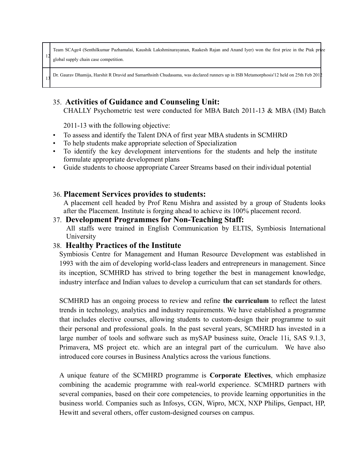Team SCAge4 (Senthilkumar Pazhamalai, Kaushik Lakshminarayanan, Raakesh Rajan and Anand Iyer) won the first prize in the Ptak prize global supply chain case competition.

13 Dr. Gaurav Dhamija, Harshit R Dravid and Samarthsinh Chudasama, was declared runners up in ISB Metamorphosis'12 held on 25th Feb 2012

### 35. **Activities of Guidance and Counseling Unit:**

CHALLY Psychometric test were conducted for MBA Batch 2011-13 & MBA (IM) Batch

2011-13 with the following objective:

12

- To assess and identify the Talent DNA of first year MBA students in SCMHRD
- To help students make appropriate selection of Specialization
- To identify the key development interventions for the students and help the institute formulate appropriate development plans
- Guide students to choose appropriate Career Streams based on their individual potential

#### 36. **Placement Services provides to students:**

A placement cell headed by Prof Renu Mishra and assisted by a group of Students looks after the Placement. Institute is forging ahead to achieve its 100% placement record.

#### 37. **Development Programmes for Non-Teaching Staff:**

All staffs were trained in English Communication by ELTIS, Symbiosis International University

#### 38. **Healthy Practices of the Institute**

Symbiosis Centre for Management and Human Resource Development was established in 1993 with the aim of developing world-class leaders and entrepreneurs in management. Since its inception, SCMHRD has strived to bring together the best in management knowledge, industry interface and Indian values to develop a curriculum that can set standards for others.

SCMHRD has an ongoing process to review and refine **the curriculum** to reflect the latest trends in technology, analytics and industry requirements. We have established a programme that includes elective courses, allowing students to custom-design their programme to suit their personal and professional goals. In the past several years, SCMHRD has invested in a large number of tools and software such as mySAP business suite, Oracle 11i, SAS 9.1.3, Primavera, MS project etc. which are an integral part of the curriculum. We have also introduced core courses in Business Analytics across the various functions.

A unique feature of the SCMHRD programme is **Corporate Electives**, which emphasize combining the academic programme with real-world experience. SCMHRD partners with several companies, based on their core competencies, to provide learning opportunities in the business world. Companies such as Infosys, CGN, Wipro, MCX, NXP Philips, Genpact, HP, Hewitt and several others, offer custom-designed courses on campus.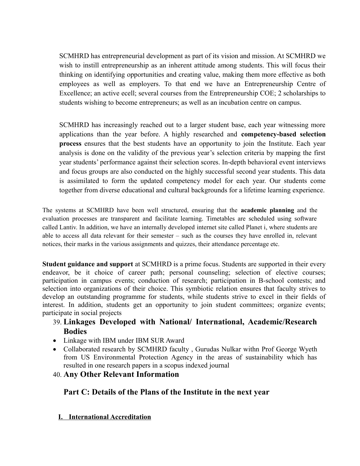SCMHRD has entrepreneurial development as part of its vision and mission. At SCMHRD we wish to instill entrepreneurship as an inherent attitude among students. This will focus their thinking on identifying opportunities and creating value, making them more effective as both employees as well as employers. To that end we have an Entrepreneurship Centre of Excellence; an active ecell; several courses from the Entrepreneurship COE; 2 scholarships to students wishing to become entrepreneurs; as well as an incubation centre on campus.

SCMHRD has increasingly reached out to a larger student base, each year witnessing more applications than the year before. A highly researched and **competency-based selection process** ensures that the best students have an opportunity to join the Institute. Each year analysis is done on the validity of the previous year's selection criteria by mapping the first year students' performance against their selection scores. In-depth behavioral event interviews and focus groups are also conducted on the highly successful second year students. This data is assimilated to form the updated competency model for each year. Our students come together from diverse educational and cultural backgrounds for a lifetime learning experience.

The systems at SCMHRD have been well structured, ensuring that the **academic planning** and the evaluation processes are transparent and facilitate learning. Timetables are scheduled using software called Lantiv. In addition, we have an internally developed internet site called Planet i, where students are able to access all data relevant for their semester – such as the courses they have enrolled in, relevant notices, their marks in the various assignments and quizzes, their attendance percentage etc.

**Student guidance and support** at SCMHRD is a prime focus. Students are supported in their every endeavor, be it choice of career path; personal counseling; selection of elective courses; participation in campus events; conduction of research; participation in B-school contests; and selection into organizations of their choice. This symbiotic relation ensures that faculty strives to develop an outstanding programme for students, while students strive to excel in their fields of interest. In addition, students get an opportunity to join student committees; organize events; participate in social projects

### 39. **Linkages Developed with National/ International, Academic/Research Bodies**

- Linkage with IBM under IBM SUR Award
- Collaborated research by SCMHRD faculty , Gurudas Nulkar withn Prof George Wyeth from US Environmental Protection Agency in the areas of sustainability which has resulted in one research papers in a scopus indexed journal

#### 40. **Any Other Relevant Information**

#### **Part C: Details of the Plans of the Institute in the next year**

#### **I. International Accreditation**